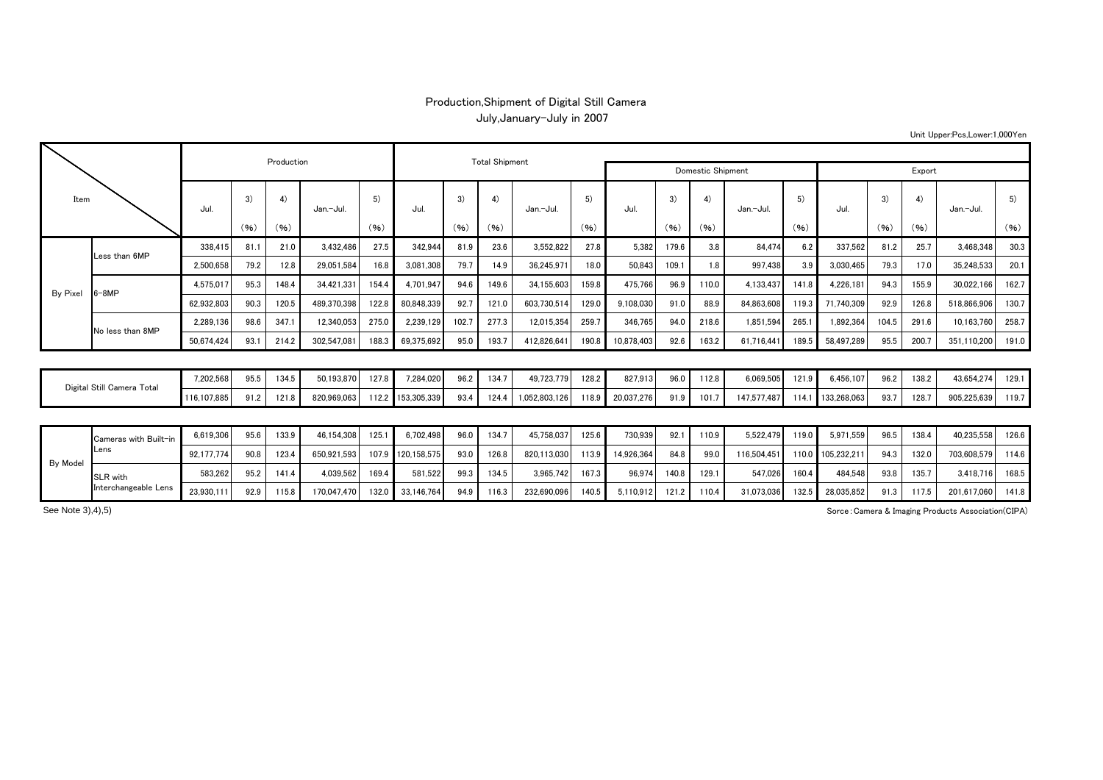## Production,Shipment of Digital Still Camera July,January-July in 2007

Unit Upper:Pcs,Lower:1,000Yen

| Item                       |                               |             |      | Production |             |       |                   | <b>Total Shipment</b> |       |               |        |            |       |       |             |       |             |       |       |             |       |
|----------------------------|-------------------------------|-------------|------|------------|-------------|-------|-------------------|-----------------------|-------|---------------|--------|------------|-------|-------|-------------|-------|-------------|-------|-------|-------------|-------|
|                            |                               |             |      |            |             |       |                   | Domestic Shipment     |       |               | Export |            |       |       |             |       |             |       |       |             |       |
|                            |                               | Jul.        | 3)   | 4)         | Jan.-Jul.   | 5)    | Jul.              | 3)                    | 4)    | Jan.-Jul      | 5)     | Jul.       | 3)    | 4)    | Jan.-Jul.   | 5)    | Jul.        | 3)    | 4)    | Jan.-Jul.   | 5)    |
|                            |                               |             | (96) | (96)       |             | (96)  |                   | (96)                  | (96)  |               | (96)   |            | (96)  | (96)  |             | (96)  |             | (96)  | (96)  |             | (96)  |
|                            | Less than 6MP                 | 338.415     | 81.1 | 21.0       | 3.432.486   | 27.5  | 342.944           | 81.9                  | 23.6  | 3.552.822     | 27.8   | 5.382      | 179.6 | 3.8   | 84.474      | 6.2   | 337.562     | 81.2  | 25.7  | 3.468.348   | 30.3  |
| By Pixel                   |                               | 2,500,658   | 79.2 | 12.8       | 29,051,584  | 16.8  | 3,081,308         | 79.7                  | 14.9  | 36,245,97     | 18.0   | 50,843     | 109.1 | 1.8   | 997.438     | 3.9   | 3.030.465   | 79.3  | 17.0  | 35,248,533  | 20.1  |
|                            | $6 - 8MP$                     | 4.575.017   | 95.3 | 148.4      | 34,421,331  | 154.4 | 4,701,947         | 94.6                  | 149.6 | 34,155,603    | 159.8  | 475,766    | 96.9  | 110.0 | 4,133,437   | 141.8 | 4,226,181   | 94.3  | 155.9 | 30,022,166  | 162.7 |
|                            |                               | 62.932.803  | 90.3 | 120.5      | 489.370.398 | 122.8 | 80.848.339        | 92.7                  | 121.0 | 603.730.514   | 129.0  | 9.108.030  | 91.0  | 88.9  | 84.863.608  | 119.3 | 71.740.309  | 92.9  | 126.8 | 518.866.906 | 130.7 |
|                            | No less than 8MP              | 2.289.136   | 98.6 | 347.1      | 12,340,053  | 275.0 | 2,239,129         | 102.7                 | 277.3 | 12,015,354    | 259.7  | 346,765    | 94.0  | 218.6 | 1,851,594   | 265.1 | 1,892,364   | 104.5 | 291.6 | 10,163,760  | 258.7 |
|                            |                               | 50,674,424  | 93.1 | 214.2      | 302,547,081 | 188.3 | 69,375,692        | 95.0                  | 193.7 | 412,826,641   | 190.8  | 10,878,403 | 92.6  | 163.2 | 61,716,441  | 189.5 | 58,497,289  | 95.5  | 200.7 | 351,110,200 | 191.0 |
|                            |                               |             |      |            |             |       |                   |                       |       |               |        |            |       |       |             |       |             |       |       |             |       |
| Digital Still Camera Total |                               | 7.202.568   | 95.5 | 134.5      | 50.193.870  | 127.8 | 7.284.020         | 96.2                  | 134.7 | 49.723.779    | 128.2  | 827.913    | 96.0  | 112.8 | 6.069.505   | 121.9 | 6.456.107   | 96.2  | 138.2 | 43,654,274  | 129.1 |
|                            |                               | 116,107,885 | 91.2 | 121.8      | 820.969.063 |       | 112.2 153,305,339 | 93.4                  | 124.4 | 1.052.803.126 | 118.9  | 20,037,276 | 91.9  | 101.7 | 147.577.487 | 114.1 | 133.268.063 | 93.7  | 128.7 | 905,225,639 | 119.7 |
|                            |                               |             |      |            |             |       |                   |                       |       |               |        |            |       |       |             |       |             |       |       |             |       |
| By Model                   | Cameras with Built-in<br>Lens | 6.619.306   | 95.6 | 133.9      | 46.154.308  | 125.1 | 6.702.498         | 96.0                  | 134.7 | 45.758.037    | 125.6  | 730.939    | 92.1  | 110.9 | 5.522.479   | 119.0 | 5.971.559   | 96.5  | 138.4 | 40.235.558  | 126.6 |
|                            |                               | 92.177.774  | 90.8 | 123.4      | 650.921.593 | 107.9 | 120.158.575       | 93.0                  | 126.8 | 820.113.030   | 113.9  | 14.926.364 | 84.8  | 99.0  | 116.504.451 | 110.0 | 105.232.21  | 94.3  | 132.0 | 703,608,579 | 114.6 |
|                            | SLR with                      | 583,262     | 95.2 | 141.4      | 4,039,562   | 169.4 | 581,522           | 99.3                  | 134.5 | 3,965,742     | 167.3  | 96,974     | 140.8 | 129.1 | 547,026     | 160.4 | 484,548     | 93.8  | 135.7 | 3,418,716   | 168.5 |
|                            | Interchangeable Lens          | 23,930,11   | 92.9 | 115.8      | 170,047,470 | 132.0 | 33,146,764        | 94.9                  | 116.3 | 232,690,096   | 140.5  | 5,110,912  | 121.2 | 110.4 | 31,073,036  | 132.5 | 28,035,852  | 91.3  | 117.5 | 201,617,060 | 141.8 |

Sorce:Camera & Imaging Products Association(CIPA)

See Note 3),4),5)